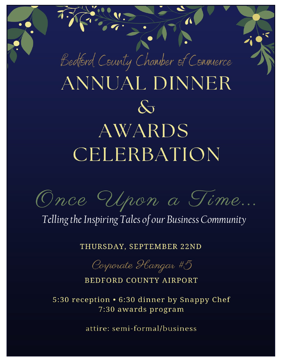

Once Upon a Time...

Telling the Inspiring Tales of our Business Community

THURSDAY, SEPTEMBER 22ND

Corporate Hangar #5

**BEDFORD COUNTY AIRPORT** 

5:30 reception • 6:30 dinner by Snappy Chef 7:30 awards program

attire: semi-formal/business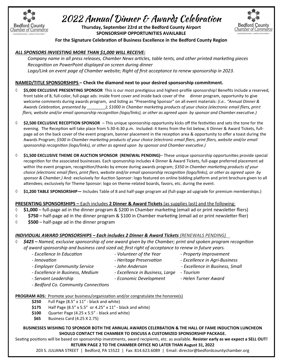

# 2022 Annual Dinner & Awards Celebration

**Thursday, September 22rd at the Bedford County Airport SPONSORSHIP OPPORTUNITIES AVAILABLE**



**For the Signature Celebration of Business Excellence in the Bedford County Region**

# *ALL SPONSORS INVIESTING MORE THAN \$1,000 WILL RECEIVE:*

*Company name in all press releases, Chamber News articles, table tents, and other printed marketing pieces Recognition on PowerPoint displayed on screen during dinner Logo/Link on event page of Chamber website; Right of first acceptance to renew sponsorship in 2023.*

## **NAMED/TITLE SPONSORSHIPS – Check the diamond next to your desired sponsorship commitment.**

- **\$5,000 EXCLUSIVE PRESENTING SPONSOR** This is our most prestigious and highest-profile sponsorship! Benefits include a reserved, front table of 8, full-color, full-page ads: inside front cover and inside back cover of the dinner program, opportunity to give welcome comments during awards program, and listing as "Presenting Sponsor" on all event materials: *(i.e.. "Annual Dinner & Awards Celebration, presented by \_\_\_\_\_\_\_\_); \$1000 in Chamber marketing products of your choice (electronic email fliers, print fliers, website and/or email sponsorship recognition (logo/links), or other as agreed upon by sponsor and Chamber executive.)*
- **\$2,500 EXCLUSIVE RECEPTION SPONSOR**  This unique sponsorship opportunity kicks off the festivities and sets the tone for the evening. The Reception will take place from 5:30-6:30 p.m. Included: 4 Items from the list below, 6 Dinner & Award Tickets, fullpage ad on the back cover of the event program, banner placement in the reception area & opportunity to offer a toast during the Awards Program; *\$500 in Chamber marketing products of your choice (electronic email fliers, print fliers, website and/or email sponsorship recognition (logo/links), or other as agreed upon by sponsor and Chamber executive.)*
- **\$1,500 EXCLUSIVE THEME OR AUCTION SPONSOR (RENEWAL PENDING)** These unique sponsorship opportunities provide special recognition for the associated businesses. Each sponsorship includes 4 Dinner & Award Tickets, full-page preferred placement ad within the event program, recognition/thanks by emcee during awards program; *\$350 in Chamber marketing products of your choice (electronic email fliers, print fliers, website and/or email sponsorship recognition (logo/links), or other as agreed upon by sponsor & Chamber.)* And: exclusively for Auction Sponsor: logo featured on online bidding platform and print brochure given to all attendees; exclusively for Theme Sponsor: logo on theme-related boards, favors, etc. during the event.
- **\$1,200 TABLE SPONSORSHIP—** Includes Table of 8 and half-page program ad (full-page ad upgrade for premium memberships.)

## **PRESENTING SPONSORSHIPS –** Each includes **2 Dinner & Award Tickets** (as supplies last) and the following:

- **\$1,000** full-page ad in the dinner program & \$200 in Chamber marketing (email ad or print newsletter fliers)
- **\$750 –** half-page ad in the dinner program & \$100 in Chamber marketing (email ad or print newsletter flier)
- $\Diamond$  \$500 half-page ad in the dinner program

# *INDIVIDUAL AWARD SPONSORSHIPS – Each includes 2 Dinner & Award Tickets (RENEWALS PENDING)*

## *\$425 – Named, exclusive sponsorship of one award given by the Chamber; print and spoken program recognition of award sponsorship and business card sized ad; first right of acceptance to renew in future years.*

- *- Excellence In Education - Volunteer of the Year - Property Improvement*
- 
- 
- *- Innovation - Heritage Preservation - Excellence in Agri-Business*
- *- Employer Community Service - John Anderson - Excellence in Business, Small*
- *- Excellence in Business, Medium - Excellence in Business, Large - Tourism*
- *- Servant Leadership - Economic Development - Helen Turner Award*
- *- Bedford Co. Community Connections*

## **PROGRAM ADS:** Promote your business/organization and/or congratulate the honoree(s)

- **\$250** Full Page (8.5" x 11" black and white)
- **\$175** Half Page (8.5" x 5.5" or 4.25" x 11" black and white)
- **\$100** Quarter Page (4.25 x 5.5" black and white)
- **\$65** Business Card (4.25 X 2.75)

#### **BUSINESSES WISHING TO SPONSOR BOTH THE ANNUAL AWARDS CELERBATION & THE HALL OF FAME INDUCTION LUNCHEON SHOULD CONTACT THE CHAMBER TO DISCUSS A CUSTOMIZED SPONSORSHIP PACKAGE.**

Seating positions will be based on sponsorship investments, award recipients, etc. as available. **Resister early as we expect a SELL OUT! RETURN PAGE 2 TO THE CHAMBER OFFICE NO LATER THAN August 31, 2022**

203 S. JULIANA STREET | Bedford, PA 15522 | Fax: 814.623.6089 | Email: director@bedfordcountychamber.org